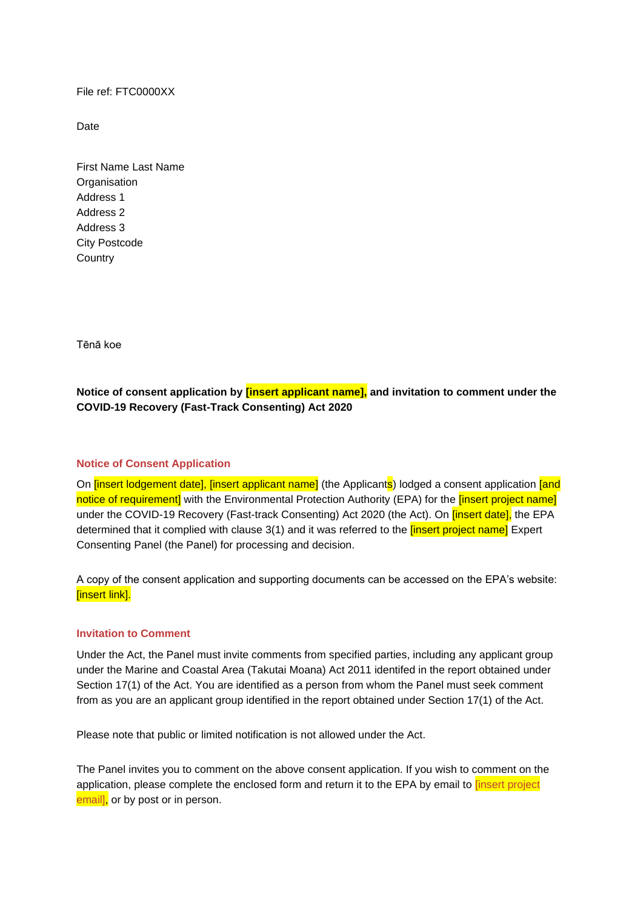File ref: FTC0000XX

Date

First Name Last Name **Organisation** Address 1 Address 2 Address 3 City Postcode **Country** 

Tēnā koe

**Notice of consent application by [insert applicant name], and invitation to comment under the COVID-19 Recovery (Fast-Track Consenting) Act 2020** 

## **Notice of Consent Application**

On *[insert lodgement date], [insert applicant name]* (the Applicants) lodged a consent application *[and* notice of requirement] with the Environmental Protection Authority (EPA) for the **[insert project name]** under the COVID-19 Recovery (Fast-track Consenting) Act 2020 (the Act). On *[insert date]*, the EPA determined that it complied with clause 3(1) and it was referred to the *linsert project name* Expert Consenting Panel (the Panel) for processing and decision.

A copy of the consent application and supporting documents can be accessed on the EPA's website: [insert link].

## **Invitation to Comment**

Under the Act, the Panel must invite comments from specified parties, including any applicant group under the Marine and Coastal Area (Takutai Moana) Act 2011 identifed in the report obtained under Section 17(1) of the Act. You are identified as a person from whom the Panel must seek comment from as you are an applicant group identified in the report obtained under Section 17(1) of the Act.

Please note that public or limited notification is not allowed under the Act.

The Panel invites you to comment on the above consent application. If you wish to comment on the application, please complete the enclosed form and return it to the EPA by email to *[insert project* email], or by post or in person.